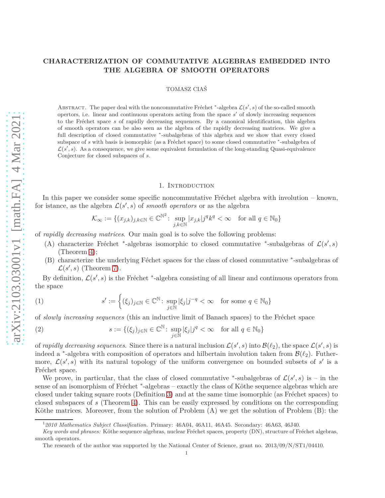# **CHARACTERIZATION OF COMMUTATIVE ALGEBRAS EMBEDDED INTO THE ALGEBRA OF SMOOTH OPERATORS**

### TOMASZ CIAŚ

ABSTRACT. The paper deal with the noncommutative Fréchet \*-algebra  $\mathcal{L}(s', s)$  of the so-called smooth opertors, i.e. linear and continuous operators acting from the space *s* ′ of slowly increasing sequences to the Fr´echet space *s* of rapidly decreasing sequences. By a canonical identification, this algebra of smooth operators can be also seen as the algebra of the rapidly decreasing matrices. We give a full description of closed commutative \*-subalgebras of this algebra and we show that every closed subspace of *s* with basis is isomorphic (as a Fréchet space) to some closed commutative \*-subalgebra of  $\mathcal{L}(s',s)$ . As a consequence, we give some equivalent formulation of the long-standing Quasi-equivalence Conjecture for closed subspaces of *s*.

## 1. Introduction

In this paper we consider some specific noncommutative Fréchet algebra with involution – known, for istance, as the algebra  $\mathcal{L}(s', s)$  of *smooth operators* or as the algebra

$$
\mathcal{K}_{\infty} := \{ (x_{j,k})_{j,k \in \mathbb{N}} \in \mathbb{C}^{\mathbb{N}^2} \colon \sup_{j,k \in \mathbb{N}} |x_{j,k}| j^q k^q < \infty \quad \text{for all } q \in \mathbb{N}_0 \}
$$

of *rapidly decreasing matrices*. Our main goal is to solve the following problems:

- (A) characterize Fréchet <sup>\*</sup>-algebras isomorphic to closed commutative <sup>\*</sup>-subalgebras of  $\mathcal{L}(s', s)$ (Theorem [4\)](#page-3-0);
- (B) characterize the underlying Féchet spaces for the class of closed commutative \*-subalgebras of  $\mathcal{L}(s',s)$  (Theorem [7\)](#page-4-0).

By definition,  $\mathcal{L}(s', s)$  is the Fréchet <sup>\*</sup>-algebra consisting of all linear and continuous operators from the space

<span id="page-0-0"></span>(1) 
$$
s' := \left\{ (\xi_j)_{j \in \mathbb{N}} \in \mathbb{C}^{\mathbb{N}} \colon \sup_{j \in \mathbb{N}} |\xi_j| j^{-q} < \infty \quad \text{for some } q \in \mathbb{N}_0 \right\}
$$

of *slowly increasing sequences* (this an inductive limit of Banach spaces) to the Fréchet space

<span id="page-0-1"></span>(2) 
$$
s := \{(\xi_j)_{j \in \mathbb{N}} \in \mathbb{C}^{\mathbb{N}} : \sup_{j \in \mathbb{N}} |\xi_j| j^q < \infty \text{ for all } q \in \mathbb{N}_0\}
$$

of *rapidly decreasing sequences*. Since there is a natural inclusion  $\mathcal{L}(s',s)$  into  $\mathcal{B}(\ell_2)$ , the space  $\mathcal{L}(s',s)$  is indeed a <sup>\*</sup>-algebra with composition of operators and hilbertain involution taken from  $\mathcal{B}(\ell_2)$ . Futhermore,  $\mathcal{L}(s', s)$  with its natural topology of the uniform convergence on bounded subsets of  $s'$  is a Fréchet space.

We prove, in particular, that the class of closed commutative \*-subalgebras of  $\mathcal{L}(s',s)$  is – in the sense of an isomorphism of Fréchet <sup>\*</sup>-algebras – exactly the class of Köthe sequence algebras which are closed under taking square roots (Definition [3\)](#page-3-1) and at the same time isomorphic (as Fréchet spaces) to closed subspaces of *s* (Theorem [4\)](#page-3-0). This can be easily expressed by conditions on the corresponding Köthe matrices. Moreover, from the solution of Problem  $(A)$  we get the solution of Problem  $(B)$ : the

<sup>1</sup>*2010 Mathematics Subject Classification.* Primary: 46A04, 46A11, 46A45. Secondary: 46A63, 46J40.

*Key words and phrases:* Köthe sequence algebras, nuclear Fréchet spaces, property (DN), structure of Fréchet algebras, smooth operators.

The research of the author was supported by the National Center of Science, grant no. 2013/09/N/ST1/04410.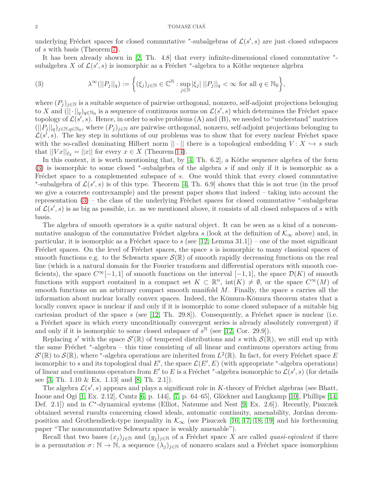underlying Fréchet spaces for closed commutative <sup>\*</sup>-subalgebras of  $\mathcal{L}(s', s)$  are just closed subspaces of *s* with basis (Theorem [7\)](#page-4-0).

It has been already shown in [\[2,](#page-13-0) Th. 4.8] that every infinite-dimensional closed commutative  $*$ subalgebra *X* of  $\mathcal{L}(s', s)$  is isomorphic as a Fréchet <sup>\*</sup>-algebra to a Köthe sequence algebra

<span id="page-1-0"></span>(3) 
$$
\lambda^{\infty}(||P_j||_q) := \left\{ (\xi_j)_{j \in \mathbb{N}} \in \mathbb{C}^{\mathbb{N}} : \sup_{j \in \mathbb{N}} |\xi_j| ||P_j||_q < \infty \text{ for all } q \in \mathbb{N}_0 \right\},
$$

where  $(P_i)_{i\in\mathbb{N}}$  is a suitable sequence of pairwise orthogonal, nonzero, self-adjoint projections belonging to *X* and  $(||\cdot||_q)_{q\in\mathbb{N}_0}$  is a sequence of continuous norms on  $\mathcal{L}(s', s)$  which determines the Fréchet space topology of  $\mathcal{L}(s', s)$ . Hence, in order to solve problems (A) and (B), we needed to "understand" matrices  $(||P_j||_q)_{j \in \mathbb{N}, q \in \mathbb{N}_0}$ , where  $(P_j)_{j \in \mathbb{N}}$  are pairwise orthogonal, nonzero, self-adjoint projections belonging to  $\mathcal{L}(s^{\prime}, s)$ . The key step in solutions of our problems was to show that for every nuclear Fréchet space with the so-called dominating Hilbert norm  $|| \cdot ||$  there is a topological embedding  $V: X \hookrightarrow s$  such that  $||Vx||_{\ell_2} = ||x||$  for every  $x \in X$  (Theorem [14\)](#page-9-0).

In this context, it is worth mentioning that, by  $[4, Th. 6.2]$ , a Köthe sequence algebra of the form [\(3\)](#page-1-0) is isomorphic to some closed <sup>∗</sup> -subalgebra of the algebra *s* if and only if it is isomorphic as a Fréchet space to a complemented subspace of *s*. One would think that every closed commutative \*-subalgebra of  $\mathcal{L}(s', s)$  is of this type. Theorem [\[4,](#page-13-1) Th. 6.9] shows that this is not true (in the proof we give a concrete contrexample) and the present paper shows that indeed – taking into account the representation  $(3)$  – the class of the underlying Fréchet spaces for closed commutative  $*$ -subalgebras of  $\mathcal{L}(s', s)$  is as big as possible, i.e. as we mentioned above, it consists of all closed subspaces of *s* with basis.

The algebra of smooth operators is a quite natural object. It can be seen as a kind of a noncommutative analogon of the commutative Fréchet algebra *s* (look at the definition of  $\mathcal{K}_{\infty}$  above) and, in particular, it is isomorphic as a Fréchet space to *s* (see [\[12,](#page-13-2) Lemma 31.1]) – one of the most significant Fréchet spaces. On the level of Fréchet spaces, the space *s* is isomorphic to many classical spaces of smooth functions e.g. to the Schwartz space  $\mathcal{S}(\mathbb{R})$  of smooth rapidly decreasing functions on the real line (which is a natural domain for the Fourier transform and differential operators with smooth coeficients), the space  $C^{\infty}[-1, 1]$  of smooth functions on the interval  $[-1, 1]$ , the space  $\mathcal{D}(K)$  of smooth functions with support contained in a compact set  $K \subset \mathbb{R}^n$ ,  $\text{int}(K) \neq \emptyset$ , or the space  $C^{\infty}(M)$  of smooth functions on an arbitrary compact smooth manifold *M*. Finally, the space *s* carries all the information about nuclear locally convex spaces. Indeed, the Kōmura-Kōmura theorem states that a locally convex space is nuclear if and only if it is isomorphic to some closed subspace of a suitable big cartesian product of the space  $s$  (see [\[12,](#page-13-2) Th. 29.8]). Consequently, a Fréchet space is nuclear (i.e. a Fréchet space in which every unconditionally convergent series is already absolutely convergent) if and only if it is isomorphic to some closed subspace of  $s^{\mathbb{N}}$  (see [\[12,](#page-13-2) Cor. 29.9]).

Replacing *s'* with the space  $\mathcal{S}'(\mathbb{R})$  of tempered distributions and *s* with  $\mathcal{S}(\mathbb{R})$ , we still end up with the same Fréchet \*-algebra – this time consisting of all linear and continuous operators acting from  $\mathcal{S}'(\mathbb{R})$  to  $\mathcal{S}(\mathbb{R})$ , where <sup>\*</sup>-algebra operations are inherited from  $L^2(\mathbb{R})$ . In fact, for every Fréchet space *E* isomorphic to *s* and its topological dual  $E'$ , the space  $\mathcal{L}(E', E)$  (with appropriate \*-algebra operations) of linear and continuous operators from  $E'$  to  $E$  is a Fréchet <sup>\*</sup>-algebra isomorphic to  $\mathcal{L}(s', s)$  (for details see [\[3,](#page-13-3) Th. 1.10 & Ex. 1.13] and [\[8,](#page-13-4) Th. 2.1]).

The algebra  $\mathcal{L}(s', s)$  appears and plays a significant role in *K*-theory of Fréchet algebras (see Bhatt, Inoue and Ogi  $[1, Ex. 2.12]$ , Cuntz  $[6, p. 144]$ ,  $[7, p. 64–65]$ , Glöckner and Langkamp  $[10]$ , Phillips  $[14,$ Def. 2.1]) and in  $C^*$ -dynamical systems (Elliot, Natsume and Nest [\[9,](#page-13-10) Ex. 2.6]). Recently, Piszczek obtained several rusults concerning closed ideals, automatic continuity, amenability, Jordan decomposition and Grothendieck-type inequality in  $\mathcal{K}_{\infty}$  (see Piszczek [\[16,](#page-13-11) [17,](#page-13-12) [18,](#page-13-13) [19\]](#page-13-14) and his forthcoming paper "The noncommutative Schwartz space is weakly amenable").

Recall that two bases  $(x_i)_{i\in\mathbb{N}}$  and  $(y_i)_{i\in\mathbb{N}}$  of a Fréchet space X are called *quasi-eqivalent* if there is a permutation  $\sigma: \mathbb{N} \to \mathbb{N}$ , a sequence  $(\lambda_j)_{j \in \mathbb{N}}$  of nonzero scalars and a Fréchet space isomorphism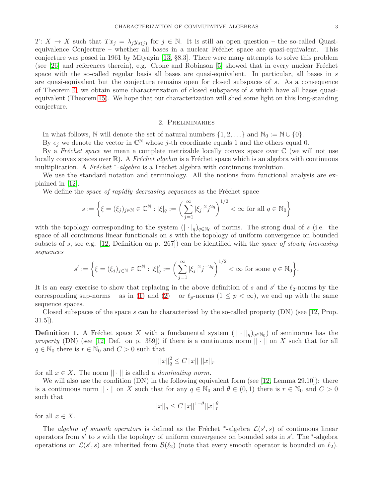*T* :  $X \to X$  such that  $Tx_j = \lambda_j y_{\sigma(j)}$  for  $j \in \mathbb{N}$ . It is still an open question – the so-called Quasiequivalence Conjecture – whether all bases in a nuclear Fréchet space are quasi-equivalent. This conjecture was posed in 1961 by Mityagin [\[13,](#page-13-15) §8.3]. There were many attempts to solve this problem (see  $[26]$  and references therein), e.g. Crone and Robinson  $[5]$  showed that in every nuclear Fréchet space with the so-called regular basis all bases are quasi-equivalent. In particular, all bases in *s* are quasi-equivalent but the conjecture remains open for closed subspaces of *s*. As a consequence of Theorem [4,](#page-3-0) we obtain some characterization of closed subspaces of *s* which have all bases quasiequivalent (Theorem [15\)](#page-10-0). We hope that our characterization will shed some light on this long-standing conjecture.

### 2. Preliminaries

In what follows,  $\mathbb N$  will denote the set of natural numbers  $\{1, 2, \ldots\}$  and  $\mathbb N_0 := \mathbb N \cup \{0\}.$ 

By  $e_j$  we denote the vector in  $\mathbb{C}^{\mathbb{N}}$  whose *j*-th coordinate equals 1 and the others equal 0.

By a *Fréchet space* we mean a complete metrizable locally convex space over  $\mathbb C$  (we will not use locally convex spaces over  $\mathbb{R}$ ). A *Fréchet algebra* is a Fréchet space which is an algebra with continuous multiplication. A *Fréchet* <sup>\*</sup>-algebra is a Fréchet algebra with continuous involution.

We use the standard notation and terminology. All the notions from functional analysis are explained in [\[12\]](#page-13-2).

We define the *space of rapidly decreasing sequences* as the Fréchet space

$$
s := \left\{ \xi = (\xi_j)_{j \in \mathbb{N}} \in \mathbb{C}^{\mathbb{N}} : |\xi|_q := \left( \sum_{j=1}^{\infty} |\xi_j|^2 j^{2q} \right)^{1/2} < \infty \text{ for all } q \in \mathbb{N}_0 \right\}
$$

with the topology corresponding to the system  $(| \cdot |_q)_{q \in \mathbb{N}_0}$  of norms. The strong dual of *s* (i.e. the space of all continuous linear functionals on *s* with the topology of uniform convergence on bounded subsets of *s*, see e.g. [\[12,](#page-13-2) Definition on p. 267]) can be identified with the *space of slowly increasing sequences*

$$
s' := \left\{ \xi = (\xi_j)_{j \in \mathbb{N}} \in \mathbb{C}^{\mathbb{N}} : |\xi|_q' := \left( \sum_{j=1}^{\infty} |\xi_j|^2 j^{-2q} \right)^{1/2} < \infty \text{ for some } q \in \mathbb{N}_0 \right\}.
$$

It is an easy exercise to show that replacing in the above definition of *s* and *s'* the  $\ell_2$ -norms by the corresponding sup-norms – as in [\(1\)](#page-0-0) and [\(2\)](#page-0-1) – or  $\ell_p$ -norms (1  $\leq p < \infty$ ), we end up with the same sequence spaces.

Closed subspaces of the space *s* can be characterized by the so-called property (DN) (see [\[12,](#page-13-2) Prop. 31.5]).

**Definition 1.** A Fréchet space *X* with a fundamental system  $(|| \cdot ||_q)_{q \in \mathbb{N}_0}$  of seminorms has the *property* (DN) (see [\[12,](#page-13-2) Def. on p. 359]) if there is a continuous norm  $|| \cdot ||$  on *X* such that for all *q* ∈  $\mathbb{N}_0$  there is *r* ∈  $\mathbb{N}_0$  and *C* > 0 such that

$$
||x||_q^2 \le C||x|| \; ||x||_r
$$

for all  $x \in X$ . The norm  $|| \cdot ||$  is called a *dominating norm*.

We will also use the condition (DN) in the following equivalent form (see [\[12,](#page-13-2) Lemma 29.10]): there is a continuous norm  $|| \cdot ||$  on *X* such that for any  $q \in \mathbb{N}_0$  and  $\theta \in (0,1)$  there is  $r \in \mathbb{N}_0$  and  $C > 0$ such that

$$
||x||_q \leq C||x||^{1-\theta}||x||_r^{\theta}
$$

for all  $x \in X$ .

The *algebra of smooth operators* is defined as the Fréchet <sup>\*</sup>-algebra  $\mathcal{L}(s', s)$  of continuous linear operators from *s'* to *s* with the topology of uniform convergence on bounded sets in *s'*. The <sup>\*</sup>-algebra operations on  $\mathcal{L}(s', s)$  are inherited from  $\mathcal{B}(\ell_2)$  (note that every smooth operator is bounded on  $\ell_2$ ).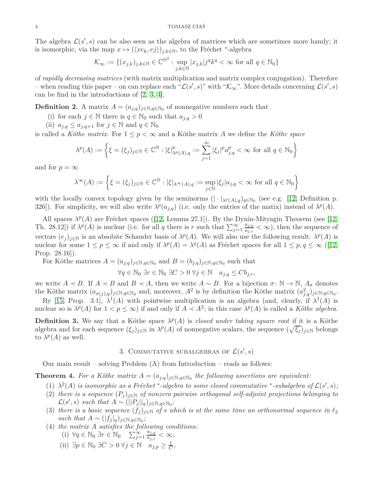The algebra  $\mathcal{L}(s', s)$  can be also seen as the algebra of matrices which are sometimes more handy; it is isomorphic, via the map  $x \mapsto (\langle xe_k, ej \rangle)_{j,k \in \mathbb{N}}$ , to the Fréchet <sup>\*</sup>-algebra

$$
\mathcal{K}_{\infty} := \{(x_{j,k})_{j,k \in \mathbb{N}} \in \mathbb{C}^{\mathbb{N}^2} : \sup_{j,k \in \mathbb{N}} |x_{j,k}| j^q k^q < \infty \text{ for all } q \in \mathbb{N}_0\}
$$

of *rapidly decreasing matrices* (with matrix multiplication and matrix complex conjugation). Therefore – when reading this paper – on can replace each " $\mathcal{L}(s', s)$ " with " $\mathcal{K}_{\infty}$ ". More details concerning  $\mathcal{L}(s', s)$ can be find in the introductions of [\[2,](#page-13-0) [3,](#page-13-3) [4\]](#page-13-1).

**Definition 2.** A matrix  $A = (a_{j,q})_{j \in \mathbb{N}, q \in \mathbb{N}_0}$  of nonnegative numbers such that

(i) for each  $j \in \mathbb{N}$  there is  $q \in \mathbb{N}_0$  such that  $a_{j,q} > 0$ 

(ii)  $a_{j,q} \le a_{j,q+1}$  for  $j \in \mathbb{N}$  and  $q \in \mathbb{N}_0$ 

is called a *Köthe matrix*. For  $1 \leq p \leq \infty$  and a Köthe matrix A we define the *Köthe space* 

$$
\lambda^p(A) := \left\{ \xi = (\xi_j)_{j \in \mathbb{N}} \in \mathbb{C}^\mathbb{N} : |\xi|_{\lambda^p(A),q}^p := \sum_{j=1}^\infty |\xi_j|^p a_{j,q}^p < \infty \text{ for all } q \in \mathbb{N}_0 \right\}
$$

and for  $p = \infty$ 

$$
\lambda^\infty(A):=\left\{\xi=(\xi_j)_{j\in\mathbb{N}}\in\mathbb{C}^\mathbb{N}:|\xi|_{\lambda^\infty(A),q}:=\sup_{j\in\mathbb{N}}|\xi_j|a_{j,q}<\infty\text{ for all }q\in\mathbb{N}_0\right\}
$$

with the locally convex topology given by the seminorms  $(| \cdot |_{\lambda^p(A),q})_{q \in \mathbb{N}_0}$  (see e.g. [\[12,](#page-13-2) Definition p. 326]). For simplicity, we will also write  $\lambda^p(a_{j,q})$  (i.e. only the entries of the matix) instead of  $\lambda^p(A)$ .

All spaces  $\lambda^p(A)$  are Fréchet spaces ([\[12,](#page-13-2) Lemma 27.1]). By the Dynin-Mityagin Theorem (see [\[12,](#page-13-2) Th. 28.12]) if  $\lambda^p(A)$  is nuclear (i.e. for all *q* there is *r* such that  $\sum_{j=1}^{\infty} \frac{a_{j,q}}{a_{j,r}}$  $\frac{a_{j,q}}{a_{j,r}} < \infty$ , then the sequence of vectors  $(e_j)_{j\in\mathbb{N}}$  is an absolute Schauder basis of  $\lambda^p(A)$ . We will also use the following result:  $\lambda^p(A)$  is nuclear for some  $1 \le p \le \infty$  if and only if  $\lambda^p(A) = \lambda^q(A)$  as Fréchet spaces for all  $1 \le p, q \le \infty$  ([\[12,](#page-13-2) Prop. 28.16]).

For Köthe matrices  $A = (a_{j,q})_{j \in \mathbb{N}, q \in \mathbb{N}_0}$  and  $B = (b_{j,q})_{j \in \mathbb{N}, q \in \mathbb{N}_0}$  such that

$$
\forall q \in \mathbb{N}_0 \; \exists r \in \mathbb{N}_0 \; \exists C > 0 \; \forall j \in \mathbb{N} \quad a_{j,q} \leq C b_{j,r},
$$

we write  $A \prec B$ . If  $A \prec B$  and  $B \prec A$ , then we write  $A \sim B$ . For a bijection  $\sigma : \mathbb{N} \to \mathbb{N}$ ,  $A_{\sigma}$  denotes the Köthe matrix  $(a_{\sigma(j),q})_{j\in\mathbb{N},q\in\mathbb{N}_0}$  and, moreover,  $A^2$  is by definition the Köthe matrix  $(a_{j,q}^2)_{j\in\mathbb{N},q\in\mathbb{N}_0}$ .

By [\[15,](#page-13-18) Prop. 3.1],  $\lambda^1(A)$  with pointwise multiplication is an algebra (and, clearly, if  $\lambda^1(A)$  is nuclear so is  $\lambda^p(A)$  for  $1 < p \le \infty$ ) if and only if  $A \prec A^2$ ; in this case  $\lambda^p(A)$  is called a *Köthe algebra*.

<span id="page-3-1"></span>**Definition 3.** We say that a Köthe space  $\lambda^p(A)$  is *closed under taking square root* if it is a Köthe algebra and for each sequence  $(\xi_j)_{j\in\mathbb{N}}$  in  $\lambda^p(A)$  of nonnegative scalars, the sequence  $(\sqrt{\xi_j})_{j\in\mathbb{N}}$  belongs to  $\lambda^p(A)$  as well.

# 3. COMMUTATIVE SUBALGEBRAS OF  $\mathcal{L}(s', s)$

Our main result – solving Problem (A) from Introduction – reads as follows:

<span id="page-3-0"></span>**Theorem 4.** For a Köthe matrix  $A = (a_{j,q})_{j \in \mathbb{N}, q \in \mathbb{N}_0}$  the following assertions are equivalent:

- (1)  $\lambda^2(A)$  *is isomorphic as a Fréchet* \*-algebra to some closed commutative \*-subalgebra of  $\mathcal{L}(s', s)$ ;
- (2) there is a sequence  $(P_i)_{i\in\mathbb{N}}$  of nonzero pairwise orthogonal self-adjoint projections belonging to  $\mathcal{L}(s', s)$  *such that*  $A \sim (||P_j||_q)_{j \in \mathbb{N}, q \in \mathbb{N}_0}$ ;
- (3) there is a basic sequence  $(f_j)_{j\in\mathbb{N}}$  of *s* which is at the same time an orthonormal sequence in  $\ell_2$ *such that*  $A \sim (|f_j|_q)_{j \in \mathbb{N}, q \in \mathbb{N}_0}$ ;
- (4) *the matrix A satisfies the following conditions:*
	- (i)  $\forall q \in \mathbb{N}_0 \; \exists r \in \mathbb{N}_0$   $\sum_{j=1}^{\infty} \frac{a_{j,q}}{a_{j,r}}$  $\frac{a_{j,q}}{a_{j,r}} < \infty$ ,
	- (ii)  $∃p ∈ ℕ_0 ∃C > 0 ∀j ∈ ℕ_0'$  $\frac{1}{C}$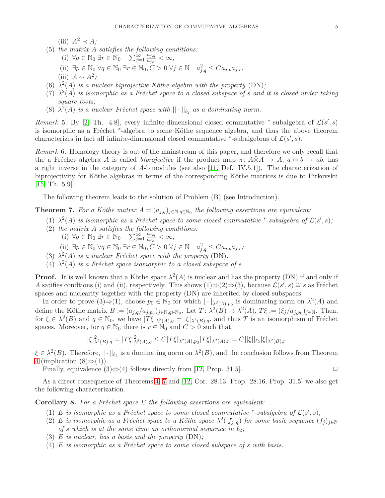$(iii)$   $A^2 \prec A$ *;* 

- (5) *the matrix A satisfies the following conditions:*
	- (i)  $\forall q \in \mathbb{N}_0 \; \exists r \in \mathbb{N}_0$   $\sum_{j=1}^{\infty} \frac{a_{j,q}}{a_{j,r}}$  $\frac{a_{j,q}}{a_{j,r}} < \infty$ ,
	- (ii)  $∃p ∈ ℕ_0 ∀q ∈ ℕ_0 ∃r ∈ ℕ_0, C > 0 ∀j ∈ ℕ_0^2, q ≤ Ca_{j,p}a_{j,r}$ ,
	- $(iii)$  *A* ∼ *A*<sup>2</sup>;
- (6)  $\lambda^2(A)$  *is a nuclear biprojective Köthe algebra with the property* (DN);
- $(7)$   $\lambda^2(A)$  *is isomorphic as a Fréchet space to a closed subspace of <i>s* and *it is closed under taking square roots;*
- (8)  $\lambda^2(A)$  *is a nuclear Fréchet space with*  $|| \cdot ||_{\ell_2}$  *as a dominating norm.*

*Remark* 5. By [\[2,](#page-13-0) Th. 4.8], every infinite-dimensional closed commutative \*-subalgebra of  $\mathcal{L}(s', s)$ is isomorphic as a Fréchet \*-algebra to some Köthe sequence algebra, and thus the above theorem characterizes in fact all infinite-dimensional closed commutative <sup>\*</sup>-subalgebras of  $\mathcal{L}(s', s)$ .

*Remark* 6*.* Homology theory is out of the mainstream of this paper, and therefore we only recall that the a Fréchet algebra *A* is called *biprojective* if the product map  $\pi$ :  $A\hat{\otimes}A \rightarrow A$ ,  $a\otimes b \mapsto ab$ , has a right inverse in the category of *A*-bimodules (see also [\[11,](#page-13-19) Def. IV.5.1]). The characterization of biprojectivity for Köthe algebras in terms of the corresponding Köthe matrices is due to Pirkovskii [\[15,](#page-13-18) Th. 5.9].

The following theorem leads to the solution of Problem (B) (see Introduction).

<span id="page-4-0"></span>**Theorem 7.** For a Köthe matrix  $A = (a_{j,q})_{j \in \mathbb{N}, q \in \mathbb{N}_0}$  the following assertions are equivalent:

- $(1)$   $\lambda^2(A)$  *is isomorphic as a Fréchet space to some closed commutative* \*-subalgebra of  $\mathcal{L}(s', s)$ ;
- (2) *the matrix A satisfies the following conditions:*
	- (i)  $\forall q \in \mathbb{N}_0 \exists r \in \mathbb{N}_0$   $\sum_{j=1}^{\infty} \frac{a_{j,q}}{a_{j,r}}$  $\frac{a_{j,q}}{a_{j,r}} < \infty$ ,
	- (ii)  $∃p ∈ ℕ_0 ∀q ∈ ℕ_0 ∃r ∈ ℕ_0, C > 0 ∀j ∈ ℕ_0^2, q ≤ Ca_{j,p}a_{j,r};$
- (3)  $\lambda^2(A)$  *is a nuclear Fréchet space with the property* (DN).
- (4)  $\lambda^2(A)$  *is a Fréchet space isomorphic to a closed subspace of <i>s*.

**Proof.** It is well known that a Köthe space  $\lambda^2(A)$  is nuclear and has the property (DN) if and only if *A* satifies condtions (i) and (ii), respectively. This shows  $(1) \Rightarrow (2) \Rightarrow (3)$ , because  $\mathcal{L}(s', s) \cong s$  as Fréchet spaces and nuclearity together with the property (DN) are inherited by closed subspaces.

In order to prove  $(3) \Rightarrow (1)$ , choose  $p_0 \in \mathbb{N}_0$  for which  $|\cdot|_{\lambda^2(A),p_0}$  is dominating norm on  $\lambda^2(A)$  and define the Köthe matrix  $B := (a_{j,q}/a_{j,p_0})_{j \in \mathbb{N}, q \in \mathbb{N}_0}$ . Let  $T : \lambda^2(B) \to \lambda^2(A)$ ,  $T\xi := (\xi_j/a_{j,p_0})_{j \in \mathbb{N}}$ . Then, for  $\xi \in \lambda^2(B)$  and  $q \in \mathbb{N}_0$ , we have  $|T\xi|_{\lambda^2(A),q} = |\xi|_{\lambda^2(B),q}$ , and thus *T* is an isomorphism of Fréchet spaces. Moreover, for  $q \in \mathbb{N}_0$  there is  $r \in \mathbb{N}_0$  and  $C > 0$  such that

$$
|\xi|_{\lambda^2(B),q}^2 = |T\xi|_{\lambda^2(A),q}^2 \le C|T\xi|_{\lambda^2(A),p_0}|T\xi|_{\lambda^2(A),r} = C||\xi||_{\ell_2}|\xi|_{\lambda^2(B),r}
$$

 $\xi \in \lambda^2(B)$ . Therefore,  $||\cdot||_{\ell_2}$  is a dominating norm on  $\lambda^2(B)$ , and the conclusion follows from Theorem [4](#page-3-0) (implication  $(8) \Rightarrow (1)$ ).

Finally, equivalence  $(3) \Leftrightarrow (4)$  follows directly from [\[12,](#page-13-2) Prop. 31.5].  $\Box$ 

As a direct consequence of Theorems [4,](#page-3-0) [7](#page-4-0) and [\[12,](#page-13-2) Cor. 28.13, Prop. 28.16, Prop. 31.5] we also get the following characterization.

<span id="page-4-1"></span>**Corollary 8.** For a Fréchet space E the following assertions are equivalent:

- (1) *E is isomorphic as a Fréchet space to some closed commutative* \*-subalgebra of  $\mathcal{L}(s', s)$ ;
- (2) *E is isomorphic as a Fréchet space to a Köthe space*  $\lambda^2(|f_j|_q)$  *for some basic sequence*  $(f_j)_{j\in\mathbb{N}}$ *of s* which is at the same time an orthonormal sequence in  $\ell_2$ ;
- (3) *E is nuclear, has a basis and the property* (DN)*;*
- $(4)$  *E is isomorphic as a Fréchet space to some closed subspace of <i>s with basis.*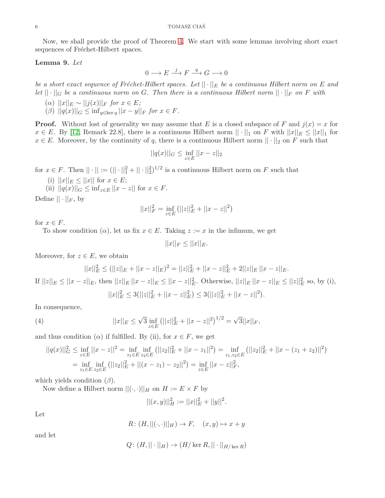Now, we shall provide the proof of Theorem [4.](#page-3-0) We start with some lemmas involving short exact sequences of Fréchet-Hilbert spaces.

## <span id="page-5-1"></span>**Lemma 9.** *Let*

$$
0 \longrightarrow E \stackrel{j}{\longrightarrow} F \stackrel{q}{\longrightarrow} G \longrightarrow 0
$$

*be a short exact sequence of Fréchet-Hilbert spaces. Let*  $|| \cdot ||_E$  *be a continuous Hilbert norm on*  $E$  *and let*  $|| \cdot ||_G$  *be a continuous norm on G. Then there is a continuous Hilbert norm*  $|| \cdot ||_F$  *on F with* 

- $(\alpha)$   $||x||_E \sim ||j(x)||_F$  *for*  $x \in E$ ;
- $(|\beta)| |q(x)||_G \leq \inf_{y \in \ker q} ||x y||_F$  *for*  $x \in F$ *.*

**Proof.** Without lost of generality we may assume that *E* is a closed subspace of *F* and  $j(x) = x$  for *x* ∈ *E*. By [\[12,](#page-13-2) Remark 22.8], there is a continuous Hilbert norm  $|| \cdot ||_1$  on *F* with  $||x||_E \le ||x||_1$  for  $x \in E$ . Moreover, by the continuity of *q*, there is a continuous Hilbert norm  $|| \cdot ||_2$  on *F* such that

$$
||q(x)||_G \le \inf_{z \in E} ||x - z||_2
$$

for  $x \in F$ . Then  $|| \cdot || := (|| \cdot ||_1^2 + || \cdot ||_2^2)^{1/2}$  is a continuous Hilbert norm on *F* such that

- (i)  $||x||_E \le ||x||$  for  $x \in E$ ;
- (ii)  $||q(x)||_G \leq \inf_{z \in E} ||x z||$  for  $x \in F$ .

Define  $|| \cdot ||_F$ , by

$$
||x||_F^2 = \inf_{z \in E} (||z||_E^2 + ||x - z||^2)
$$

for  $x \in F$ .

To show condition  $(\alpha)$ , let us fix  $x \in E$ . Taking  $z := x$  in the infimum, we get

 $||x||_F < ||x||_F$ .

Moreover, for  $z \in E$ , we obtain

<span id="page-5-0"></span>
$$
||x||_E^2 \le (||z||_E + ||x - z||_E)^2 = ||z||_E^2 + ||x - z||_E^2 + 2||z||_E ||x - z||_E.
$$

If  $||z||_E \le ||x - z||_E$ , then  $||z||_E ||x - z||_E \le ||x - z||_E^2$ . Otherwise,  $||z||_E ||x - z||_E \le ||z||_E^2$  so, by (i),  $||x||_E^2 \leq 3(||z||_E^2 + ||x - z||_E^2) \leq 3(||z||_E^2 + ||x - z||^2).$ 

In consequence,

(4) 
$$
||x||_E \le \sqrt{3} \inf_{z \in E} (||z||_E^2 + ||x - z||^2)^{1/2} = \sqrt{3}||x||_F,
$$

and thus condition  $(\alpha)$  if fulfilled. By (ii), for  $x \in F$ , we get

$$
||q(x)||_G^2 \le \inf_{z \in E} ||x - z||^2 = \inf_{z_1 \in E} \inf_{z_2 \in E} (||z_2||_E^2 + ||x - z_1||^2) = \inf_{z_1, z_2 \in E} (||z_2||_E^2 + ||x - (z_1 + z_2)||^2)
$$
  
=  $\inf_{z_1 \in E} \inf_{z_2 \in E} (||z_2||_E^2 + ||(x - z_1) - z_2||^2) = \inf_{z \in E} ||x - z||_F^2,$ 

which yields condition (*β*).

Now define a Hilbert norm  $||(\cdot, \cdot)||_H$  on  $H := E \times F$  by

$$
||(x,y)||_H^2 := ||x||_E^2 + ||y||^2.
$$

Let

$$
R: (H, ||(\cdot, \cdot)||_H) \to F, \quad (x, y) \mapsto x + y
$$

and let

$$
Q\colon (H,||\cdot||_H)\to (H/\ker R,||\cdot||_{H/\ker R})
$$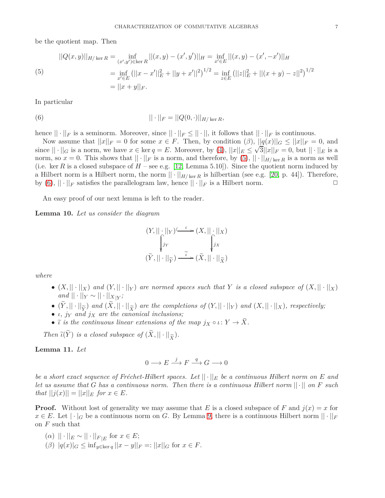be the quotient map. Then

<span id="page-6-0"></span>(5)  
\n
$$
||Q(x,y)||_{H/\ker R} = \inf_{(x',y') \in \ker R} ||(x,y) - (x',y')||_H = \inf_{x' \in E} ||(x,y) - (x',-x')||_H
$$
\n
$$
= \inf_{x' \in E} (||x-x'||_E^2 + ||y+x'||^2)^{1/2} = \inf_{z \in E} (||z||_E^2 + ||(x+y) - z||^2)^{1/2}
$$
\n
$$
= ||x+y||_F.
$$

In particular

(6) 
$$
|| \cdot ||_F = ||Q(0, \cdot)||_{H/\ker R},
$$

hence  $||\cdot||_F$  is a seminorm. Moreover, since  $||\cdot||_F \leq ||\cdot||$ , it follows that  $||\cdot||_F$  is continuous.

Now assume that  $||x||_F = 0$  for some  $x \in F$ . Then, by condition  $(\beta)$ ,  $||q(x)||_G \leq ||x||_F = 0$ , and since  $|| \cdot ||_G$  is a norm, we have  $x \in \ker q = E$ . Moreover, by [\(4\)](#page-5-0),  $||x||_E \le \sqrt{3} ||x||_F = 0$ , but  $|| \cdot ||_E$  is a norm, so  $x = 0$ . This shows that  $|| \cdot ||_F$  is a norm, and therefore, by  $(5)$ ,  $|| \cdot ||_{H/\ker R}$  is a norm as well (i.e. ker *R* is a closed subspace of  $H$  – see e.g. [\[12,](#page-13-2) Lemma 5.10]). Since the quotient norm induced by a Hilbert norm is a Hilbert norm, the norm  $|| \cdot ||_{H/\ker R}$  is hilbertian (see e.g. [\[20,](#page-13-20) p. 44]). Therefore, by (6),  $|| \cdot ||_F$  satisfies the parallelogram law, hence  $|| \cdot ||_F$  is a Hilbert norm. by [\(6\)](#page-6-1),  $\|\cdot\|_F$  satisfies the parallelogram law, hence  $\|\cdot\|_F$  is a Hilbert norm.

An easy proof of our next lemma is left to the reader.

<span id="page-6-2"></span>**Lemma 10.** *Let us consider the diagram*

<span id="page-6-1"></span>
$$
(Y, ||\cdot||_Y) \xrightarrow{\iota} (X, ||\cdot||_X)
$$

$$
\int_{\tilde{Y}^Y} \int_{\tilde{Y}^X} \int_{\tilde{Y}^X} j_X
$$

$$
(\tilde{Y}, ||\cdot||_{\tilde{Y}}) \xrightarrow{\tilde{\iota}} (\tilde{X}, ||\cdot||_{\tilde{X}})
$$

*where*

- $(X, \|\cdot\|_X)$  and  $(Y, \|\cdot\|_Y)$  are normed spaces such that Y is a closed subspace of  $(X, \|\cdot\|_X)$ *and*  $|| \cdot ||_Y \sim || \cdot ||_{X|Y}$ ;
- $(Y, || \cdot ||_{\widetilde{Y}})$  and  $(X, || \cdot ||_{\widetilde{X}})$  are the completions of  $(Y, || \cdot ||_{Y})$  and  $(X, || \cdot ||_{X})$ , respectively;
- *ι, j<sup>Y</sup> and j<sup>X</sup> are the canonical inclusions;*
- $\tilde{\iota}$  *is the continuous linear extensions of the map*  $j_X \circ \iota \colon Y \to \tilde{X}$ *.*

*Then*  $\tilde{\iota}(Y)$  *is a closed subspace of*  $(X, || \cdot ||_{\tilde{X}})$ *.* 

## <span id="page-6-3"></span>**Lemma 11.** *Let*

$$
0 \longrightarrow E \stackrel{j}{\longrightarrow} F \stackrel{q}{\longrightarrow} G \longrightarrow 0
$$

*be a short exact sequence of Fréchet-Hilbert spaces. Let*  $|| \cdot ||_E$  *be a continuous Hilbert norm on*  $E$  *and let us assume that G has a continuous norm. Then there is a continuous Hilbert norm* || · || *on F such*  $|f(x)|| = ||x||_E$  *for*  $x \in E$ *.* 

**Proof.** Without lost of generality we may assume that *E* is a closed subspace of *F* and  $j(x) = x$  for  $x \in E$ . Let  $|\cdot|_G$  be a continuous norm on *G*. By Lemma [9,](#page-5-1) there is a continuous Hilbert norm  $||\cdot||_F$ on *F* such that

- $(\alpha)$   $|| \cdot ||_E \sim || \cdot ||_{F|E}$  for  $x \in E$ ;
- $(\beta)$   $|q(x)|_G \leq \inf_{y \in \ker q} ||x y||_F =: ||x||_G$  for  $x \in F$ .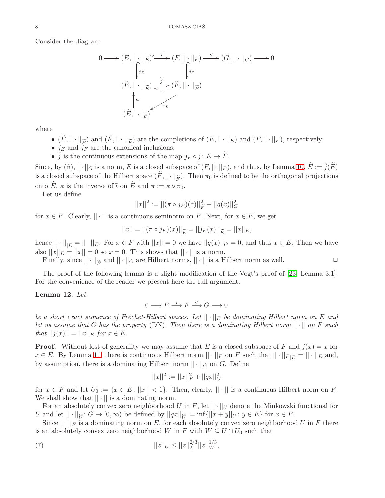Consider the diagram

$$
0 \longrightarrow (E, ||\cdot||_{E}) \xrightarrow{j} (F, ||\cdot||_{F}) \xrightarrow{q} (G, ||\cdot||_{G}) \longrightarrow 0
$$
  

$$
(\widetilde{E}, ||\cdot||_{\widetilde{E}}) \xrightarrow{\widetilde{j}} (\widetilde{F}, ||\cdot||_{\widetilde{F}})
$$
  

$$
(\widehat{E}, ||\cdot||_{\widetilde{F}}) \xrightarrow{\pi_{0}} (E, ||\cdot||_{\widetilde{F}})
$$

where

- $(E, || \cdot ||_{\widetilde{E}})$  and  $(F, || \cdot ||_{\widetilde{F}})$  are the completions of  $(E, || \cdot ||_{E})$  and  $(F, || \cdot ||_{F})$ , respectively;
- $j_E$  and  $j_F$  are the canonical inclusions;
- *j* is the continuous extensions of the map  $j_F \circ j : E \to F$ .

Since, by  $(\beta)$ ,  $||\cdot||_G$  is a norm, *E* is a closed subspace of  $(F, ||\cdot||_F)$ , and thus, by Lemma [10,](#page-6-2)  $\hat{E} := \tilde{j}(E)$ is a closed subspace of the Hilbert space  $(F, ||\cdot||_{\widetilde{F}})$ . Then  $\pi_0$  is defined to be the orthogonal projections onto  $\widehat{E}$ ,  $\kappa$  is the inverse of  $\widetilde{\iota}$  on  $\widehat{E}$  and  $\pi := \kappa \circ \pi_0$ .

Let us define

$$
||x||^2 := ||(\pi \circ j_F)(x)||_{\widetilde{E}}^2 + ||q(x)||_G^2
$$

for  $x \in F$ . Clearly,  $\|\cdot\|$  is a continuous seminorm on F. Next, for  $x \in E$ , we get

$$
||x|| = ||(\pi \circ j_F)(x)||_{\widetilde{E}} = ||j_E(x)||_{\widetilde{E}} = ||x||_E,
$$

hence  $|| \cdot ||_{E} = || \cdot ||_{E}$ . For  $x \in F$  with  $||x|| = 0$  we have  $||q(x)||_{G} = 0$ , and thus  $x \in E$ . Then we have also  $||x||_E = ||x|| = 0$  so  $x = 0$ . This shows that  $|| \cdot ||$  is a norm.

Finally, since  $|| \cdot ||_{\widetilde{E}}$  and  $|| \cdot ||_{G}$  are Hilbert norms,  $|| \cdot ||$  is a Hilbert norm as well.  $\square$ 

The proof of the following lemma is a slight modification of the Vogt's proof of [\[23,](#page-13-21) Lemma 3.1]. For the convenience of the reader we present here the full argument.

## <span id="page-7-1"></span>**Lemma 12.** *Let*

$$
0 \longrightarrow E \stackrel{j}{\longrightarrow} F \stackrel{q}{\longrightarrow} G \longrightarrow 0
$$

*be a short exact sequence of Fréchet-Hilbert spaces. Let*  $|| \cdot ||_E$  *be dominating Hilbert norm on*  $E$  *and let us assume that G has the property* (DN)*. Then there is a dominating Hilbert norm* || · || *on F such that*  $||j(x)|| = ||x||_E$  *for*  $x \in E$ *.* 

**Proof.** Without lost of generality we may assume that *E* is a closed subspace of *F* and  $j(x) = x$  for *x* ∈ *E*. By Lemma [11,](#page-6-3) there is continuous Hilbert norm  $|| \cdot ||_F$  on *F* such that  $|| \cdot ||_{F|E} = || \cdot ||_E$  and, by assumption, there is a dominating Hilbert norm  $|| \cdot ||_G$  on *G*. Define

<span id="page-7-0"></span>
$$
||x||^2 := ||x||_F^2 + ||qx||_G^2
$$

for  $x \in F$  and let  $U_0 := \{x \in E : ||x|| < 1\}$ . Then, clearly,  $|| \cdot ||$  is a continuous Hilbert norm on *F*. We shall show that  $|| \cdot ||$  is a dominating norm.

For an absolutely convex zero neighborhood *U* in *F*, let  $||\cdot||_U$  denote the Minkowski functional for *U* and let  $|| \cdot ||_{\hat{U}}$ :  $G \to [0, \infty)$  be defined by  $||qx||_{\hat{U}} := \inf\{||x+y||_U : y \in E\}$  for  $x \in F$ .<br>Since  $|| \cdot ||_{\Sigma}$  is a dominating norm on *F* for onch absolutely convex zero neighborhood.

Since  $\|\cdot\|_E$  is a dominating norm on E, for each absolutely convex zero neighborhood U in F there is an absolutely convex zero neighborhood *W* in *F* with  $W \subseteq U \cap U_0$  such that

(7) 
$$
||z||_U \leq ||z||_E^{2/3} ||z||_W^{1/3},
$$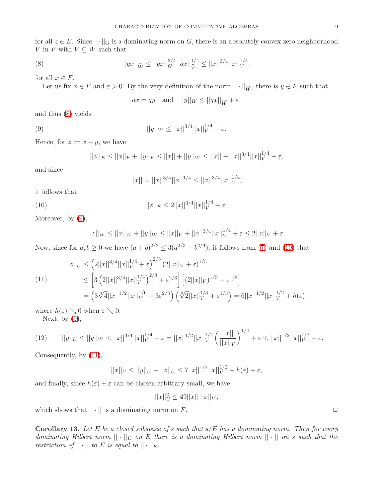for all  $z \in E$ . Since  $\|\cdot\|_G$  is a dominating norm on *G*, there is an absolutely convex zero neighborhood *V* in *F* with  $V \subseteq W$  such that

(8) 
$$
||qx||_{\widehat{W}} \leq ||qx||_G^{3/4}||qx||_{\widehat{V}}^{1/4} \leq ||x||^{3/4}||x||_V^{1/4}.
$$

for all  $x \in F$ .

Let us fix  $x \in F$  and  $\varepsilon > 0$ . By the very definition of the norm  $|| \cdot ||_{\widehat{W}}$ , there is  $y \in F$  such that

<span id="page-8-1"></span><span id="page-8-0"></span>
$$
qx = qy
$$
 and  $||y||_W \le ||qx||_{\widehat{W}} + \varepsilon$ ,

and thus [\(8\)](#page-8-0) yields

(9) 
$$
||y||_W \leq ||x||^{3/4} ||x||_V^{1/4} + \varepsilon.
$$

Hence, for  $z := x - y$ , we have

$$
||z||_E \le ||x||_F + ||y||_F \le ||x|| + ||y||_W \le ||x|| + ||x||^{3/4} ||x||_V^{1/4} + \varepsilon,
$$

and since

<span id="page-8-2"></span>
$$
||x|| = ||x||^{3/4}||x||^{1/4} \le ||x||^{3/4}||x||_V^{1/4},
$$

it follows that

(10)  $||z||_E \le 2||x||^{3/4}||x||_V^{1/4} + \varepsilon.$ 

Moreover, by  $(9)$ ,

$$
||z||_W \le ||x||_W + ||y||_W \le ||x||_V + ||x||^{3/4} ||x||_V^{1/4} + \varepsilon \le 2||x||_V + \varepsilon.
$$

Now, since for  $a, b \ge 0$  we have  $(a + b)^{2/3} \le 3(a^{2/3} + b^{2/3})$ , it follows from [\(7\)](#page-7-0) and [\(10\)](#page-8-2) that

<span id="page-8-3"></span>
$$
||z||_{U} \leq (2||x||^{3/4}||x||_{V}^{1/4} + \varepsilon)^{2/3} (2||x||_{V} + \varepsilon)^{1/3}
$$
  
\n
$$
\leq [3 (2||x||^{3/4}||x||_{V}^{1/4})^{2/3} + \varepsilon^{2/3}] [(2||x||_{V})^{1/3} + \varepsilon^{1/3}]
$$
  
\n
$$
= (3\sqrt[3]{4}||x||^{1/2}||x||_{V}^{1/6} + 3\varepsilon^{2/3}) (\sqrt[3]{2}||x||_{V}^{1/3} + \varepsilon^{1/3}) = 6||x||^{1/2}||x||_{V}^{1/2} + h(\varepsilon),
$$

where  $h(\varepsilon) \searrow 0$  when  $\varepsilon \searrow 0$ .

Next, by  $(9)$ ,

$$
(12) \qquad ||y||_{U} \le ||y||_{W} \le ||x||^{3/4}||x||_{V}^{1/4} + \varepsilon = ||x||^{1/2}||x||_{V}^{1/2} \left(\frac{||x||}{||x||_{V}}\right)^{1/4} + \varepsilon \le ||x||^{1/2}||x||_{V}^{1/2} + \varepsilon.
$$

Consequently, by [\(11\)](#page-8-3),

$$
||x||_{U} \le ||y||_{U} + ||z||_{U} \le 7||x||^{1/2}||x||_{V}^{1/2} + h(\varepsilon) + \varepsilon,
$$

and finally, since  $h(\varepsilon) + \varepsilon$  can be chosen arbitrary small, we have

$$
||x||_U^2 \le 49||x|| \; ||x||_V,
$$

which shows that  $|| \cdot ||$  is a dominating norm on *F*.

<span id="page-8-4"></span>**Corollary 13.** *Let E be a closed subspace of s such that s/E has a dominating norm. Then for every dominating Hilbert norm*  $|| \cdot ||_E$  *on E there is a dominating Hilbert norm*  $|| \cdot ||$  *on s such that the restriction of*  $|| \cdot ||$  *to E is equal to*  $|| \cdot ||_E$ *.*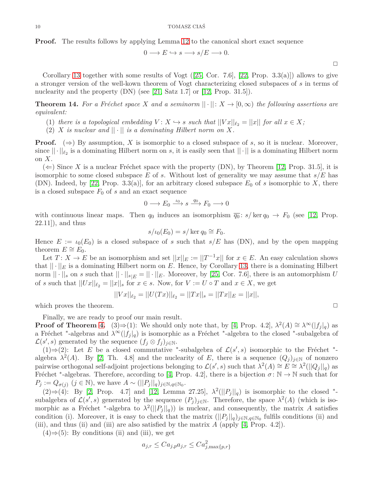**Proof.** The results follows by applying Lemma [12](#page-7-1) to the canonical short exact sequence

$$
0 \longrightarrow E \hookrightarrow s \longrightarrow s/E \longrightarrow 0.
$$

 $\Box$ 

Corollary [13](#page-8-4) together with some results of Vogt  $([25, \text{Cor. } 7.6], [22, \text{Prop. } 3.3(a)])$  $([25, \text{Cor. } 7.6], [22, \text{Prop. } 3.3(a)])$  $([25, \text{Cor. } 7.6], [22, \text{Prop. } 3.3(a)])$  $([25, \text{Cor. } 7.6], [22, \text{Prop. } 3.3(a)])$  $([25, \text{Cor. } 7.6], [22, \text{Prop. } 3.3(a)])$  allows to give a stronger version of the well-kown theorem of Vogt characterizing closed subspaces of *s* in terms of nuclearity and the property (DN) (see [\[21,](#page-13-24) Satz 1.7] or [\[12,](#page-13-2) Prop. 31.5]).

<span id="page-9-0"></span>**Theorem 14.** For a Fréchet space *X* and a seminorm  $|| \cdot ||: X \to [0, \infty)$  the following assertions are *equivalent:*

(1) *there is a topological embedding*  $V: X \hookrightarrow s$  *such that*  $||Vx||_{\ell_2} = ||x||$  *for all*  $x \in X$ *;* 

(2) *X is nuclear and*  $|| \cdot ||$  *is a dominating Hilbert norm on X.* 

**Proof.**  $(\Rightarrow)$  By assumption, *X* is isomorphic to a closed subspace of *s*, so it is nuclear. Moreover, since  $||\cdot||_{\ell_2}$  is a dominating Hilbert norm on *s*, it is easily seen that  $||\cdot||$  is a dominating Hilbert norm on *X*.

 $(\Leftarrow)$  Since X is a nuclear Fréchet space with the property (DN), by Theorem [\[12,](#page-13-2) Prop. 31.5], it is isomorphic to some closed subspace *E* of *s*. Without lost of generality we may assume that *s/E* has (DN). Indeed, by [\[22,](#page-13-23) Prop. 3.3(a)], for an arbitrary closed subspace  $E_0$  of *s* isomorphic to *X*, there is a closed subspace  $F_0$  of  $s$  and an exact sequence

$$
0 \longrightarrow E_0 \xrightarrow{\iota_0} s \xrightarrow{q_0} F_0 \longrightarrow 0
$$

with continuous linear maps. Then  $q_0$  induces an isomorphism  $\overline{q_0}$ :  $s/\ker q_0 \to F_0$  (see [\[12,](#page-13-2) Prop.  $(22.11)$ , and thus

$$
s/\iota_0(E_0) = s/\ker q_0 \cong F_0.
$$

Hence  $E := \iota_0(E_0)$  is a closed subspace of *s* such that  $s/E$  has (DN), and by the open mapping theorem  $E \cong E_0$ .

Let  $T: X \to E$  be an isomorphism and set  $||x||_E := ||T^{-1}x||$  for  $x \in E$ . An easy calculation shows that  $|| \cdot ||_E$  is a dominating Hilbert norm on *E*. Hence, by Corollary [13,](#page-8-4) there is a dominating Hilbert norm  $|| \cdot ||_s$  on *s* such that  $|| \cdot ||_{s|E} = || \cdot ||_E$ . Moreover, by [\[25,](#page-13-22) Cor. 7.6], there is an automorphism *U* of *s* such that  $||Ux||_{\ell_2} = ||x||_s$  for  $x \in s$ . Now, for  $V := U \circ T$  and  $x \in X$ , we get

$$
||Vx||_{\ell_2} = ||U(Tx)||_{\ell_2} = ||Tx||_s = ||Tx||_E = ||x||,
$$

which proves the theorem.

Finally, we are ready to proof our main result.

**Proof of Theorem [4.](#page-3-0)** (3)⇒(1): We should only note that, by [\[4,](#page-13-1) Prop. 4.2],  $\lambda^2(A) \cong \lambda^{\infty}(|f_j|_q)$  as a Fréchet <sup>\*</sup>-algebras and  $\lambda^{\infty}(|f_j|_q)$  is isomorphic as a Fréchet <sup>\*</sup>-algebra to the closed <sup>\*</sup>-subalgebra of  $\mathcal{L}(s', s)$  generated by the sequence  $(f_j \otimes f_j)_{j \in \mathbb{N}}$ .

(1)⇒(2): Let *E* be a closed commutative \*-subalgebra of  $\mathcal{L}(s', s)$  isomorphic to the Fréchet \*algebra  $\lambda^2(A)$ . By [\[2,](#page-13-0) Th. 4.8] and the nuclearity of *E*, there is a sequence  $(Q_j)_{j\in\mathbb{N}}$  of nonzero pairwise orthogonal self-adjoint projections belonging to  $\mathcal{L}(s', s)$  such that  $\lambda^2(A) \cong E \cong \lambda^2(||Q_j||_q)$  as Fréchet <sup>\*</sup>-algebras. Therefore, according to [\[4,](#page-13-1) Prop. 4.2], there is a bijection  $\sigma: \mathbb{N} \to \mathbb{N}$  such that for  $P_j := Q_{\sigma(j)} \ (j \in \mathbb{N})$ , we have  $A \sim (||P_j||_q)_{j \in \mathbb{N}, q \in \mathbb{N}_0}$ .

(2)  $\Rightarrow$  (4): By [\[2,](#page-13-0) Prop. 4.7] and [\[12,](#page-13-2) Lemma 27.25],  $\lambda^2(||P_j||_q)$  is isomorphic to the closed \*subalgebra of  $\mathcal{L}(s', s)$  generated by the sequence  $(P_j)_{j \in \mathbb{N}}$ . Therefore, the space  $\lambda^2(A)$  (which is isomorphic as a Fréchet <sup>\*</sup>-algebra to  $\lambda^2(||P_j||_q)$ ) is nuclear, and consequently, the matrix *A* satisfies condition (i). Moreover, it is easy to check that the matrix  $(||P_j||_q)_{j \in \mathbb{N}, q \in \mathbb{N}_0}$  fulfils conditions (ii) and (iii), and thus (ii) and (iii) are also satisfied by the matrix *A* (apply [\[4,](#page-13-1) Prop. 4.2]).

 $(4) \Rightarrow (5)$ : By conditions (ii) and (iii), we get

$$
a_{j,r} \leq C a_{j,p} a_{j,r} \leq C a_{j,\max\{p,r\}}^2
$$

$$
\qquad \qquad \Box
$$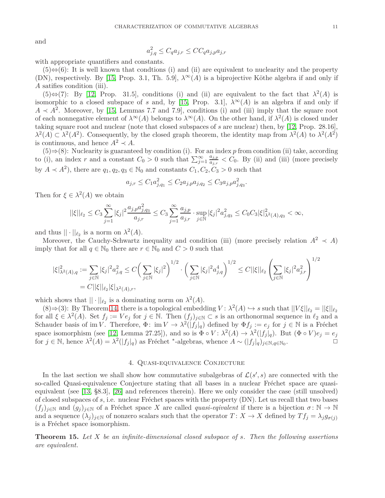and

$$
a_{j,q}^2 \le C_q a_{j,r} \le C C_q a_{j,p} a_{j,r}
$$

with appropriate quantifiers and constants.

 $(5) \Leftrightarrow (6)$ : It is well known that condtions (i) and (ii) are equivalent to nuclearity and the property (DN), respectively. By [\[15,](#page-13-18) Prop. 3.1, Th. 5.9],  $\lambda^{\infty}(A)$  is a biprojective Köthe algebra if and only if *A* satifies condition (iii).

(5)⇔(7): By [\[12,](#page-13-2) Prop. 31.5], conditions (i) and (ii) are equivalent to the fact that  $\lambda^2(A)$  is isomorphic to a closed subspace of *s* and, by [\[15,](#page-13-18) Prop. 3.1],  $\lambda^{\infty}(A)$  is an algebra if and only if  $A \prec A^2$ . Moreover, by [\[15,](#page-13-18) Lemmas 7.7 and 7.9], conditions (i) and (iii) imply that the square root of each nonnegative element of  $\lambda^{\infty}(A)$  belongs to  $\lambda^{\infty}(A)$ . On the other hand, if  $\lambda^2(A)$  is closed under taking square root and nuclear (note that closed subspaces of *s* are nuclear) then, by [\[12,](#page-13-2) Prop. 28.16],  $\lambda^2(A) \subset \lambda^2(A^2)$ . Consequently, by the closed graph theorem, the identity map from  $\lambda^2(A)$  to  $\lambda^2(A^2)$ is continuous, and hence  $A^2 \prec A$ .

(5)⇒(8): Nuclearity is guaranteed by condition (i). For an index *p* from condition (ii) take, according to (i), an index *r* and a constant  $C_0 > 0$  such that  $\sum_{j=1}^{\infty} \frac{a_{j,p}}{a_{j,p}}$  $\frac{a_{j,p}}{a_{j,r}} < C_0$ . By (ii) and (iii) (more precisely by  $A \prec A^2$ , there are  $q_1, q_2, q_3 \in \mathbb{N}_0$  and constants  $C_1, C_2, C_3 > 0$  such that

$$
a_{j,r} \leq C_1 a_{j,q_1}^2 \leq C_2 a_{j,p} a_{j,q_2} \leq C_3 a_{j,p} a_{j,q_3}^2.
$$

Then for  $\xi \in \lambda^2(A)$  we obtain

$$
||\xi||_{\ell_2}\leq C_3\sum_{j=1}^\infty |\xi_j|^2\frac{a_{j,p}a_{j,q_3}^2}{a_{j,r}}\leq C_3\sum_{j=1}^\infty \frac{a_{j,p}}{a_{j,r}}\cdot \sup_{j\in\mathbb{N}} |\xi_j|^2a_{j,q_3}^2\leq C_0C_3|\xi|_{\lambda^2(A),q_3}^2<\infty,
$$

and thus  $|| \cdot ||_{\ell_2}$  is a norm on  $\lambda^2(A)$ .

Moreover, the Cauchy-Schwartz inequality and condition (iii) (more precisely relation  $A^2 \prec A$ ) imply that for all  $q \in \mathbb{N}_0$  there are  $r \in \mathbb{N}_0$  and  $C > 0$  such that

$$
\begin{aligned} |\xi|_{\lambda^2(A),q}^2 &:= \sum_{j\in\mathbb{N}} |\xi_j|^2 a_{j,q}^2 \le C \bigg(\sum_{j\in\mathbb{N}} |\xi_j|^2\bigg)^{1/2} \cdot \bigg(\sum_{j\in\mathbb{N}} |\xi_j|^2 a_{j,q}^4\bigg)^{1/2} \le C ||\xi||_{\ell_2} \left(\sum_{j\in\mathbb{N}} |\xi_j|^2 a_{j,r}^2\right)^{1/2} \\ &= C ||\xi||_{\ell_2} |\xi|_{\lambda^2(A),r}, \end{aligned}
$$

which shows that  $|| \cdot ||_{\ell_2}$  is a dominating norm on  $\lambda^2(A)$ .

 $(8) \Rightarrow (3)$ : By Theorem [14,](#page-9-0) there is a topological embedding  $V : \lambda^2(A) \hookrightarrow s$  such that  $||V\xi||_{\ell_2} = ||\xi||_{\ell_2}$ for all  $\xi \in \lambda^2(A)$ . Set  $f_j := Ve_j$  for  $j \in \mathbb{N}$ . Then  $(f_j)_{j \in \mathbb{N}} \subset s$  is an orthonormal sequence in  $\ell_2$  and a Schauder basis of im *V*. Therefore,  $\Phi: \text{ im } V \to \lambda^2(|f_j|_q)$  defined by  $\Phi f_j := e_j$  for  $j \in \mathbb{N}$  is a Fréchet space isomorphism (see [\[12,](#page-13-2) Lemma 27.25]), and so is  $\Phi \circ V : \lambda^2(A) \to \lambda^2(|f_j|_q)$ . But  $(\Phi \circ V)e_j = e_j$ for  $j \in \mathbb{N}$ , hence  $\lambda^2(A) = \lambda^2(|f_j|_q)$  as Fréchet \*-algebras, whence  $A \sim (|f_j|_q)_{j \in \mathbb{N}, q \in \mathbb{N}_0}$ .  $\Box$ 

## 4. Quasi-equivalence Conjecture

In the last section we shall show how commutative subalgebras of  $\mathcal{L}(s', s)$  are connected with the so-called Quasi-equivalence Conjecture stating that all bases in a nuclear Fréchet space are quasiequivalent (see [\[13,](#page-13-15) §8.3], [\[26\]](#page-13-16) and references therein). Here we only consider the case (still unsolved) of closed subspaces of *s*, i.e. nuclear Fréchet spaces with the property (DN). Let us recall that two bases  $(f_j)_{j\in\mathbb{N}}$  and  $(g_j)_{j\in\mathbb{N}}$  of a Fréchet space X are called *quasi-eqivalent* if there is a bijection  $\sigma: \mathbb{N} \to \mathbb{N}$ and a sequence  $(\lambda_j)_{j \in \mathbb{N}}$  of nonzero scalars such that the operator  $T: X \to X$  defined by  $Tf_j = \lambda_j g_{\sigma(j)}$ is a Fréchet space isomorphism.

<span id="page-10-0"></span>**Theorem 15.** *Let X be an infinite-dimensional closed subspace of s. Then the following assertions are equivalent.*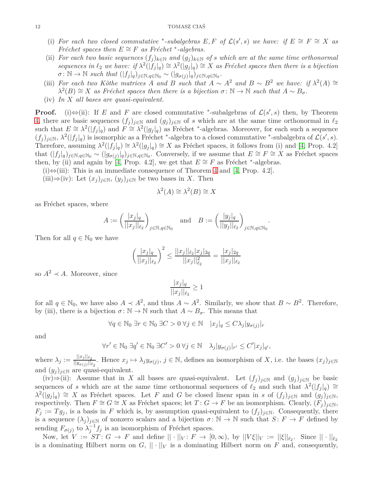- (i) For each two closed commutative \*-subalgebras  $E, F$  of  $\mathcal{L}(s', s)$  we have: if  $E \cong F \cong X$  as *Fréchet spaces then*  $E \cong F$  *as Fréchet* \*-algebras.
- (ii) *For each two basic sequences*  $(f_j)_{k \in \mathbb{N}}$  *and*  $(g_j)_{k \in \mathbb{N}}$  *of s which are at the same time orthonormal*  $sequences$  *in*  $\ell_2$  *we have: if*  $\lambda^2(|f_j|_q) \cong \lambda^2(|g_j|_q) \cong X$  *as Fréchet spaces then there is a bijection*  $\sigma: \mathbb{N} \to \mathbb{N}$  *such that*  $(|f_j|_q)_{j \in \mathbb{N}, q \in \mathbb{N}_0} \sim (|g_{\sigma(j)}|_q)_{j \in \mathbb{N}, q \in \mathbb{N}_0}$ .
- (iii) *For each two Köthe matrices A and B such that*  $A \sim A^2$  *and*  $B \sim B^2$  *we have: if*  $\lambda^2(A) \cong$  $\lambda^2(B) \cong X$  *as Fréchet spaces then there is a bijection*  $\sigma : \mathbb{N} \to \mathbb{N}$  *such that*  $A \sim B_{\sigma}$ *.*
- (iv) *In X all bases are quasi-equivalent.*

**Proof.** (i) $\Leftrightarrow$ (ii): If *E* and *F* are closed commutative \*-subalgebras of  $\mathcal{L}(s',s)$  then, by Theorem [4,](#page-3-0) there are basic sequences  $(f_j)_{j\in\mathbb{N}}$  and  $(g_j)_{j\in\mathbb{N}}$  of *s* which are at the same time orthonormal in  $\ell_2$ such that  $E \cong \lambda^2(|f_j|_q)$  and  $F \cong \lambda^2(|g_j|_q)$  as Fréchet <sup>\*</sup>-algebras. Moreover, for each such a sequence  $(f_j)_{j\in\mathbb{N}}, \ \lambda^2(|f_j|_q)$  is isomorphic as a Fréchet \*-algebra to a closed commutative \*-subalgebra of  $\mathcal{L}(s', s)$ . Therefore, assuming  $\lambda^2(|f_j|_q) \cong \lambda^2(|g_j|_q) \cong X$  as Fréchet spaces, it follows from (i) and [\[4,](#page-13-1) Prop. 4.2] that  $(|f_j|_q)_{j \in \mathbb{N}, q \in \mathbb{N}_0} \sim (|g_{\sigma(j)}|_q)_{j \in \mathbb{N}, q \in \mathbb{N}_0}$ . Conversely, if we assume that  $E \cong F \cong X$  as Fréchet spaces then, by (ii) and again by [\[4,](#page-13-1) Prop. 4.2], we get that  $E \cong F$  as Fréchet <sup>∗</sup>-algebras.

(i)⇔(iii): This is an immediate consequence of Theorem [4](#page-3-0) and [\[4,](#page-13-1) Prop. 4.2].

(iii)⇒(iv): Let  $(x_j)_{j \in \mathbb{N}}$ ,  $(y_j)_{j \in \mathbb{N}}$  be two bases in *X*. Then

$$
\lambda^2(A) \cong \lambda^2(B) \cong X
$$

as Fréchet spaces, where

$$
A:=\left(\frac{|x_j|_q}{||x_j||_{\ell_2}}\right)_{j\in\mathbb{N}, q\in\mathbb{N}_0}\quad\text{and}\quad B:=\left(\frac{|y_j|_q}{||y_j||_{\ell_2}}\right)_{j\in\mathbb{N}, q\in\mathbb{N}_0}.
$$

Then for all  $q \in \mathbb{N}_0$  we have

$$
\left(\frac{|x_j|_q}{||x_j||_{\ell_2}}\right)^2 \le \frac{||x_j||_{\ell_2} |x_j|_{2q}}{||x_j||_{\ell_2}^2} = \frac{|x_j|_{2q}}{||x_j||_{\ell_2}}
$$

so  $A^2 \prec A$ . Moreover, since

$$
\frac{|x_j|_q}{||x_j||_{\ell_2}} \ge 1
$$

for all  $q \in \mathbb{N}_0$ , we have also  $A \prec A^2$ , and thus  $A \sim A^2$ . Similarly, we show that  $B \sim B^2$ . Therefore, by (iii), there is a bijection  $\sigma : \mathbb{N} \to \mathbb{N}$  such that  $A \sim B_{\sigma}$ . This means that

$$
\forall q \in \mathbb{N}_0 \,\,\exists r \in \mathbb{N}_0 \,\,\exists C > 0 \,\,\forall j \in \mathbb{N} \quad |x_j|_q \leq C\lambda_j |y_{\sigma(j)}|_r
$$

and

$$
\forall r' \in \mathbb{N}_0 \; \exists q' \in \mathbb{N}_0 \; \exists C' > 0 \; \forall j \in \mathbb{N} \quad \lambda_j |y_{\sigma(j)}|_{r'} \le C' |x_j|_{q'},
$$

where  $\lambda_j := \frac{||x_j||_{\ell_2}}{||u_{\tau(j)}||_{\ell_2}}$  $\frac{||x_j||_{\ell_2}}{||y_{\sigma(j)}||_{\ell_2}}$ . Hence  $x_j \mapsto \lambda_j y_{\sigma(j)}, j \in \mathbb{N}$ , defines an isomorphism of *X*, i.e. the bases  $(x_j)_{j \in \mathbb{N}}$ and  $(y_j)_{j \in \mathbb{N}}$  are quasi-equivalent.

(iv)⇒(ii): Assume that in *X* all bases are quasi-equivalent. Let  $(f_j)_{j\in\mathbb{N}}$  and  $(g_j)_{j\in\mathbb{N}}$  be basic sequences of *s* which are at the same time orthonormal sequences of  $\ell_2$  and such that  $\lambda^2(|f_j|_q) \cong$  $\lambda^2(|g_j|_q) \cong X$  as Fréchet spaces. Let *F* and *G* be closed linear span in *s* of  $(f_j)_{j\in\mathbb{N}}$  and  $(g_j)_{j\in\mathbb{N}}$ , respectively. Then  $F \cong G \cong X$  as Fréchet spaces; let  $T: G \to F$  be an isomorphism. Clearly,  $(F_i)_{i \in \mathbb{N}}$ ,  $F_j := T g_j$ , is a basis in *F* which is, by assumption quasi-equivalent to  $(f_j)_{j \in \mathbb{N}}$ . Consequently, there is a sequence  $(\lambda_j)_{j\in\mathbb{N}}$  of nonzero scalars and a bijection  $\sigma: \mathbb{N} \to \mathbb{N}$  such that  $S: F \to F$  defined by sending  $F_{\sigma(j)}$  to  $\lambda_j^{-1} f_j$  is an isomorphism of Fréchet spaces.

Now, let  $V := ST : G \to F$  and define  $|| \cdot ||_V : F \to [0, \infty)$ , by  $||V\xi||_V := ||\xi||_{\ell_2}$ . Since  $|| \cdot ||_{\ell_2}$ is a dominating Hilbert norm on  $G$ ,  $||\cdot||_V$  is a dominating Hilbert norm on *F* and, consequently,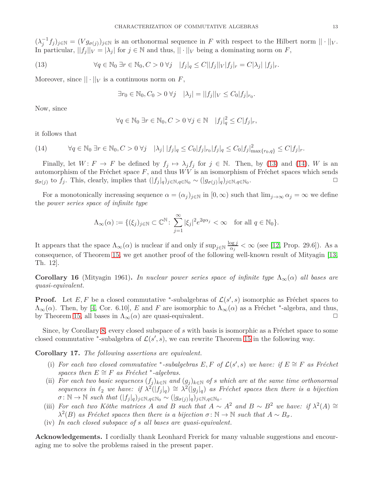$(\lambda_j^{-1} f_j)_{j \in \mathbb{N}} = (V g_{\sigma(j)})_{j \in \mathbb{N}}$  is an orthonormal sequence in *F* with respect to the Hilbert norm  $|| \cdot ||_V$ . In particular,  $||f_j||_V = |\lambda_j|$  for  $j \in \mathbb{N}$  and thus,  $||\cdot||_V$  being a dominating norm on *F*,

(13) 
$$
\forall q \in \mathbb{N}_0 \exists r \in \mathbb{N}_0, C > 0 \,\forall j \quad |f_j|_q \le C ||f_j||_V |f_j|_r = C |\lambda_j| \, |f_j|_r.
$$

Moreover, since  $|| \cdot ||_V$  is a continuous norm on *F*,

<span id="page-12-0"></span>
$$
\exists r_0 \in \mathbb{N}_0, C_0 > 0 \,\forall j \quad |\lambda_j| = ||f_j||_V \le C_0 |f_j|_{r_0}.
$$

Now, since

$$
\forall q \in \mathbb{N}_0 \; \exists r \in \mathbb{N}_0, C > 0 \; \forall j \in \mathbb{N} \quad |f_j|_q^2 \le C |f_j|_r,
$$

it follows that

<span id="page-12-1"></span>
$$
(14) \qquad \forall q \in \mathbb{N}_0 \,\exists r \in \mathbb{N}_0, C > 0 \,\forall j \quad |\lambda_j| \, |f_j|_q \leq C_0 |f_j|_{r_0} |f_j|_q \leq C_0 |f_j|_{\max\{r_0, q\}}^2 \leq C |f_j|_r.
$$

Finally, let  $W: F \to F$  be defined by  $f_j \mapsto \lambda_j f_j$  for  $j \in \mathbb{N}$ . Then, by [\(13\)](#page-12-0) and [\(14\)](#page-12-1), *W* is an automorphism of the Fréchet space  $F$ , and thus  $WV$  is an isomorphism of Fréchet spaces which sends *g*<sub>*σ*(*j*)</sub> to *f*<sub>*j*</sub>. This, clearly, implies that  $(|f_j|_q)_{j \in \mathbb{N}, q \in \mathbb{N}_0} \sim (|g_{\sigma(j)}|_q)_{j \in \mathbb{N}, q \in \mathbb{N}_0}$ .  $\Box$ 

For a monotonically increasing sequence  $\alpha = (\alpha_i)_{i \in \mathbb{N}}$  in  $[0, \infty)$  such that  $\lim_{i \to \infty} \alpha_i = \infty$  we define the *power series space of infinite type*

$$
\Lambda_{\infty}(\alpha) := \{(\xi_j)_{j \in \mathbb{N}} \subset \mathbb{C}^{\mathbb{N}} \colon \sum_{j=1}^{\infty} |\xi_j|^2 e^{2q\alpha_j} < \infty \quad \text{for all } q \in \mathbb{N}_0\}.
$$

It appears that the space  $\Lambda_{\infty}(\alpha)$  is nuclear if and only if  $\sup_{j\in\mathbb{N}}\frac{\log j}{\alpha_j}$  $\frac{\log j}{\alpha_j} < \infty$  (see [\[12,](#page-13-2) Prop. 29.6]). As a consequence, of Theorem [15,](#page-10-0) we get another proof of the following well-known result of Mityagin [\[13,](#page-13-15) Th. 12].

**Corollary 16** (Mityagin 1961). *In nuclear power series space of infinite type*  $\Lambda_{\infty}(\alpha)$  *all bases are quasi-equivalent.*

**Proof.** Let *E*, *F* be a closed commutative \*-subalgebras of  $\mathcal{L}(s', s)$  isomorphic as Fréchet spaces to  $\Lambda_{\infty}(\alpha)$ . Then, by [\[4,](#page-13-1) Cor. 6.10], *E* and *F* are isomorphic to  $\Lambda_{\infty}(\alpha)$  as a Fréchet \*-algebra, and thus, by Theorem [15,](#page-10-0) all bases in  $\Lambda_{\infty}(\alpha)$  are quasi-equivalent.  $\Box$ 

Since, by Corollary [8,](#page-4-1) every closed subspace of *s* with basis is isomorphic as a Fréchet space to some closed commutative <sup>\*</sup>-subalgebra of  $\mathcal{L}(s', s)$ , we can rewrite Theorem [15](#page-10-0) in the following way.

**Corollary 17.** *The following assertions are equivalent.*

- (i) For each two closed commutative \*-subalgebras  $E, F$  of  $\mathcal{L}(s', s)$  we have: if  $E \cong F$  as Fréchet *spaces then*  $E \cong F$  *as Fréchet* \*-*algebras.*
- (ii) *For each two basic sequences*  $(f_j)_{k \in \mathbb{N}}$  *and*  $(g_j)_{k \in \mathbb{N}}$  *of s which are at the same time orthonormal sequences in*  $\ell_2$  *we have:* if  $\lambda^2(|f_j|_q) \cong \lambda^2(|g_j|_q)$  *as Fréchet spaces then there is a bijection*  $\sigma: \mathbb{N} \to \mathbb{N}$  *such that*  $(|f_j|_q)_{j \in \mathbb{N}, q \in \mathbb{N}_0}$  ∼  $(|g_{\sigma(j)}|_q)_{j \in \mathbb{N}, q \in \mathbb{N}_0}$ .
- (iii) *For each two Köthe matrices A and B such that*  $A \sim A^2$  *and*  $B \sim B^2$  *we have: if*  $\lambda^2(A) \cong$  $\lambda^2(B)$  *as Fréchet spaces then there is a bijection*  $\sigma : \mathbb{N} \to \mathbb{N}$  *such that*  $A \sim B_{\sigma}$ *.*
- (iv) *In each closed subspace of s all bases are quasi-equivalent.*

**Acknowledgements.** I cordially thank Leonhard Frerick for many valuable suggestions and encouraging me to solve the problems raised in the present paper.